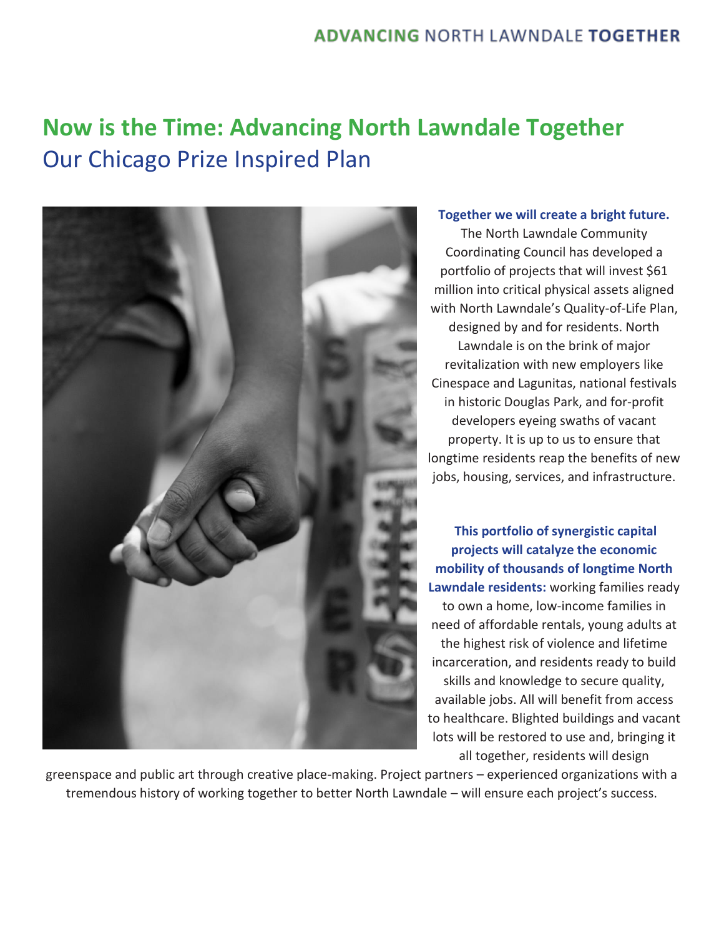# **Now is the Time: Advancing North Lawndale Together**  Our Chicago Prize Inspired Plan



#### **Together we will create a bright future.**

The North Lawndale Community Coordinating Council has developed a portfolio of projects that will invest \$61 million into critical physical assets aligned with North Lawndale's Quality-of-Life Plan, designed by and for residents. North Lawndale is on the brink of major revitalization with new employers like Cinespace and Lagunitas, national festivals in historic Douglas Park, and for-profit developers eyeing swaths of vacant property. It is up to us to ensure that longtime residents reap the benefits of new jobs, housing, services, and infrastructure.

**This portfolio of synergistic capital projects will catalyze the economic mobility of thousands of longtime North Lawndale residents:** working families ready to own a home, low-income families in need of affordable rentals, young adults at the highest risk of violence and lifetime incarceration, and residents ready to build skills and knowledge to secure quality, available jobs. All will benefit from access to healthcare. Blighted buildings and vacant lots will be restored to use and, bringing it all together, residents will design

greenspace and public art through creative place-making. Project partners – experienced organizations with a tremendous history of working together to better North Lawndale – will ensure each project's success.